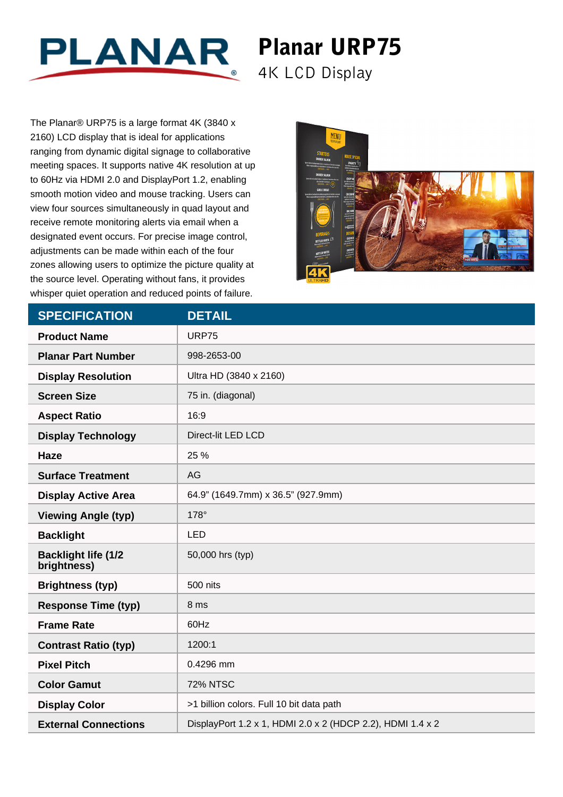

## Planar URP75 4K LCD Display

The Planar® URP75 is a large format 4K (3840 x 2160) LCD display that is ideal for applications ranging from dynamic digital signage to collaborative meeting spaces. It supports native 4K resolution at up to 60Hz via HDMI 2.0 and DisplayPort 1.2, enabling smooth motion video and mouse tracking. Users can view four sources simultaneously in quad layout and receive remote monitoring alerts via email when a designated event occurs. For precise image control, adjustments can be made within each of the four zones allowing users to optimize the picture quality at the source level. Operating without fans, it provides whisper quiet operation and reduced points of failure.



| <b>SPECIFICATION</b>                      | <b>DETAIL</b>                                              |
|-------------------------------------------|------------------------------------------------------------|
| <b>Product Name</b>                       | <b>URP75</b>                                               |
| <b>Planar Part Number</b>                 | 998-2653-00                                                |
| <b>Display Resolution</b>                 | Ultra HD (3840 x 2160)                                     |
| <b>Screen Size</b>                        | 75 in. (diagonal)                                          |
| <b>Aspect Ratio</b>                       | 16:9                                                       |
| <b>Display Technology</b>                 | Direct-lit LED LCD                                         |
| <b>Haze</b>                               | 25 %                                                       |
| <b>Surface Treatment</b>                  | AG                                                         |
| <b>Display Active Area</b>                | 64.9" (1649.7mm) x 36.5" (927.9mm)                         |
| <b>Viewing Angle (typ)</b>                | 178°                                                       |
| <b>Backlight</b>                          | <b>LED</b>                                                 |
| <b>Backlight life (1/2</b><br>brightness) | 50,000 hrs (typ)                                           |
| <b>Brightness (typ)</b>                   | 500 nits                                                   |
| <b>Response Time (typ)</b>                | 8 ms                                                       |
| <b>Frame Rate</b>                         | 60Hz                                                       |
| <b>Contrast Ratio (typ)</b>               | 1200:1                                                     |
| <b>Pixel Pitch</b>                        | 0.4296 mm                                                  |
| <b>Color Gamut</b>                        | <b>72% NTSC</b>                                            |
| <b>Display Color</b>                      | >1 billion colors. Full 10 bit data path                   |
| <b>External Connections</b>               | DisplayPort 1.2 x 1, HDMI 2.0 x 2 (HDCP 2.2), HDMI 1.4 x 2 |